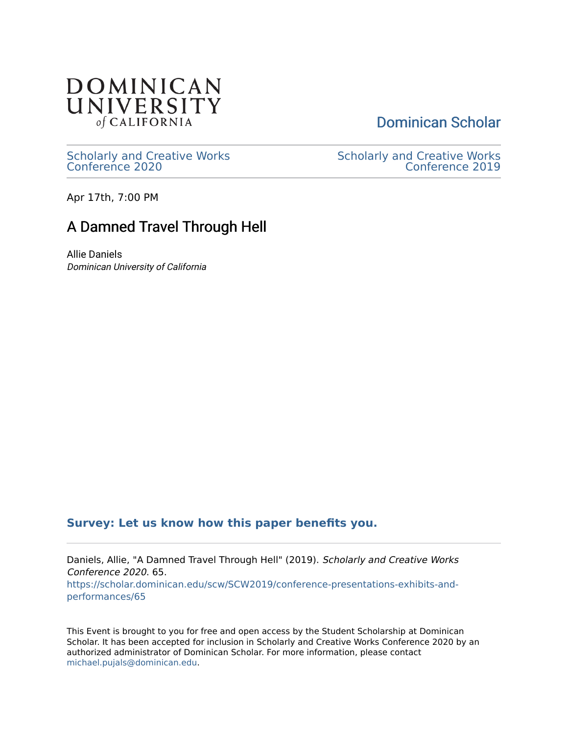

[Dominican Scholar](https://scholar.dominican.edu/) 

[Scholarly and Creative Works](https://scholar.dominican.edu/scw) [Conference 2020](https://scholar.dominican.edu/scw) 

[Scholarly and Creative Works](https://scholar.dominican.edu/scw/SCW2019)  [Conference 2019](https://scholar.dominican.edu/scw/SCW2019) 

Apr 17th, 7:00 PM

#### A Damned Travel Through Hell

Allie Daniels Dominican University of California

#### **[Survey: Let us know how this paper benefits you.](https://dominican.libwizard.com/dominican-scholar-feedback)**

Daniels, Allie, "A Damned Travel Through Hell" (2019). Scholarly and Creative Works Conference 2020. 65. [https://scholar.dominican.edu/scw/SCW2019/conference-presentations-exhibits-and](https://scholar.dominican.edu/scw/SCW2019/conference-presentations-exhibits-and-performances/65?utm_source=scholar.dominican.edu%2Fscw%2FSCW2019%2Fconference-presentations-exhibits-and-performances%2F65&utm_medium=PDF&utm_campaign=PDFCoverPages)[performances/65](https://scholar.dominican.edu/scw/SCW2019/conference-presentations-exhibits-and-performances/65?utm_source=scholar.dominican.edu%2Fscw%2FSCW2019%2Fconference-presentations-exhibits-and-performances%2F65&utm_medium=PDF&utm_campaign=PDFCoverPages)

This Event is brought to you for free and open access by the Student Scholarship at Dominican Scholar. It has been accepted for inclusion in Scholarly and Creative Works Conference 2020 by an authorized administrator of Dominican Scholar. For more information, please contact [michael.pujals@dominican.edu.](mailto:michael.pujals@dominican.edu)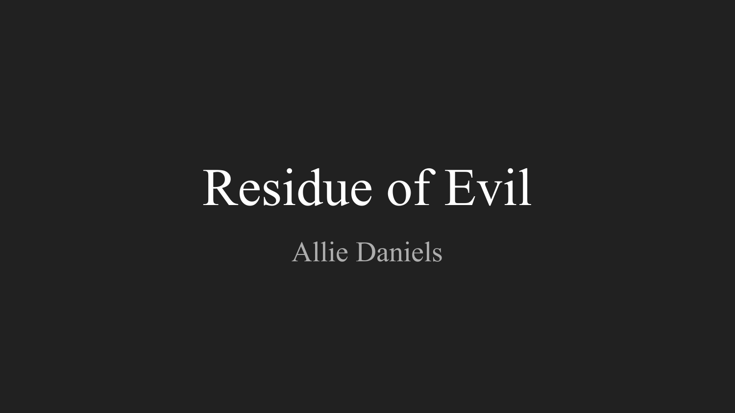# Residue of Evil

Allie Daniels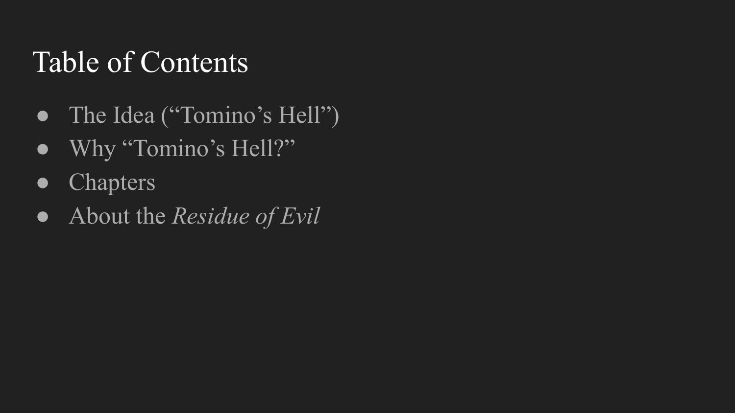#### Table of Contents

- The Idea ("Tomino's Hell")
- Why "Tomino's Hell?"
- Chapters
- About the *Residue of Evil*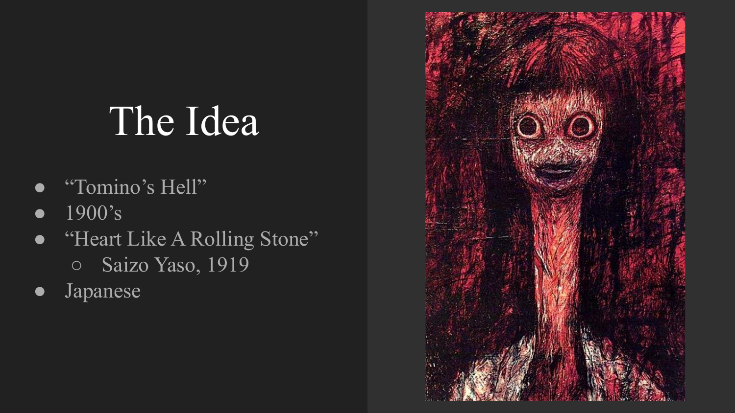## The Idea

- "Tomino's Hell"
- 1900's
- "Heart Like A Rolling Stone" ○ Saizo Yaso, 1919
- Japanese

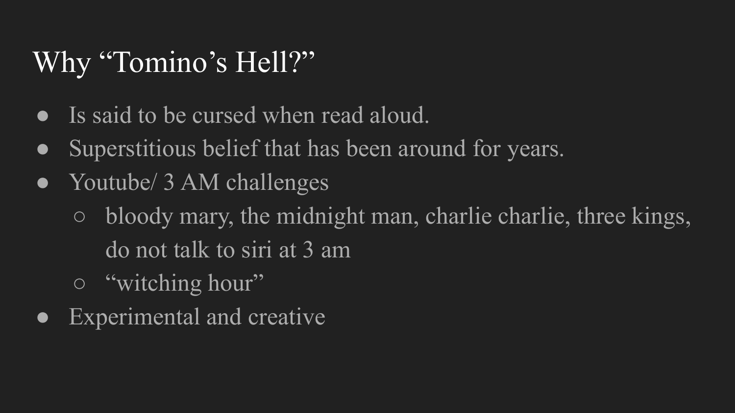#### Why "Tomino's Hell?"

- Is said to be cursed when read aloud.
- Superstitious belief that has been around for years.
- Youtube/ 3 AM challenges
	- bloody mary, the midnight man, charlie charlie, three kings, do not talk to siri at 3 am
	- "witching hour"
- Experimental and creative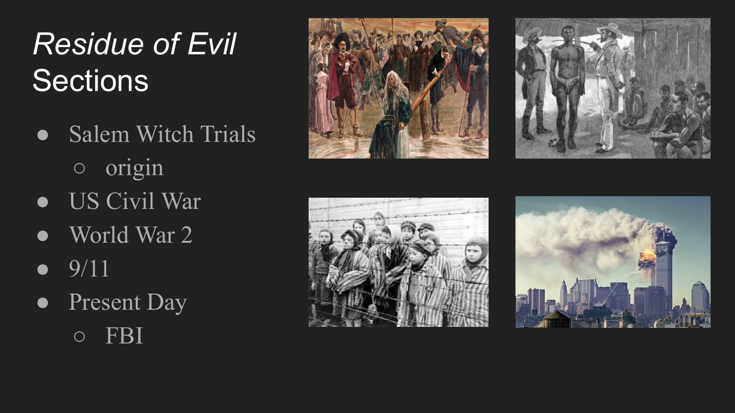## *Residue of Evil* **Sections**

- Salem Witch Trials ○ origin
- US Civil War
- World War 2
- $9/11$
- Present Day ○ FBI







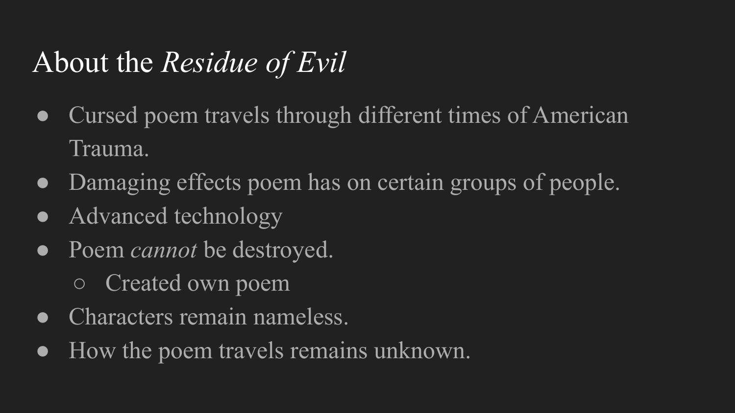### About the *Residue of Evil*

- Cursed poem travels through different times of American Trauma.
- Damaging effects poem has on certain groups of people.
- Advanced technology
- Poem *cannot* be destroyed.
	- Created own poem
- Characters remain nameless.
- How the poem travels remains unknown.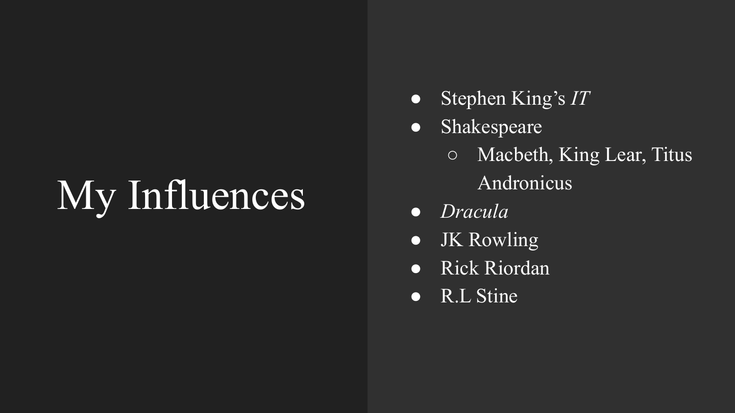## My Influences

- Stephen King's *IT*
- Shakespeare
	- Macbeth, King Lear, Titus Andronicus
- *● Dracula*
- JK Rowling
- Rick Riordan
- R.L Stine